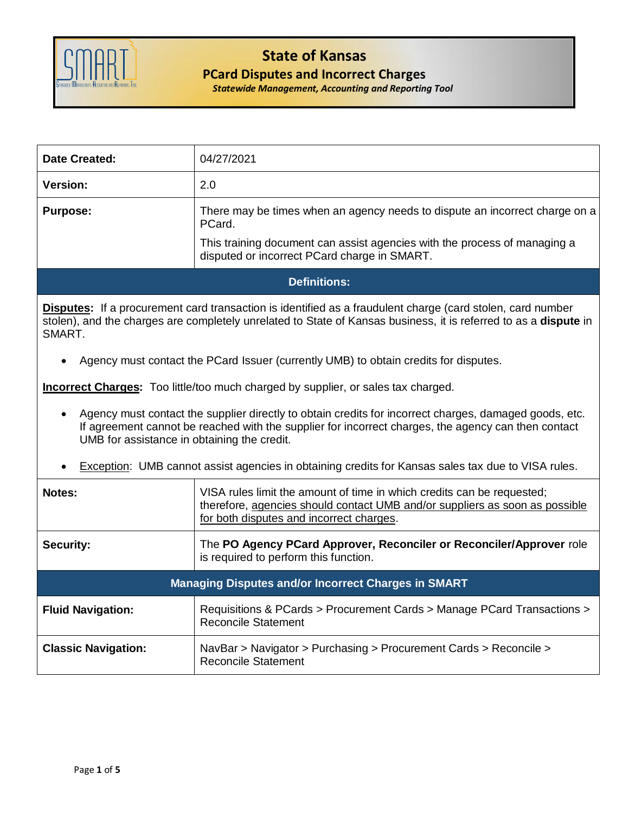

## **State of Kansas**

## **PCard Disputes and Incorrect Charges**

*Statewide Management, Accounting and Reporting Tool*

| <b>Date Created:</b>                                                                                                                                                                                                                                                      | 04/27/2021                                                                                                                                                                                                                            |  |  |  |  |  |
|---------------------------------------------------------------------------------------------------------------------------------------------------------------------------------------------------------------------------------------------------------------------------|---------------------------------------------------------------------------------------------------------------------------------------------------------------------------------------------------------------------------------------|--|--|--|--|--|
| <b>Version:</b>                                                                                                                                                                                                                                                           | 2.0                                                                                                                                                                                                                                   |  |  |  |  |  |
| <b>Purpose:</b>                                                                                                                                                                                                                                                           | There may be times when an agency needs to dispute an incorrect charge on a<br>PCard.                                                                                                                                                 |  |  |  |  |  |
|                                                                                                                                                                                                                                                                           | This training document can assist agencies with the process of managing a<br>disputed or incorrect PCard charge in SMART.                                                                                                             |  |  |  |  |  |
| <b>Definitions:</b>                                                                                                                                                                                                                                                       |                                                                                                                                                                                                                                       |  |  |  |  |  |
| SMART.                                                                                                                                                                                                                                                                    | <b>Disputes:</b> If a procurement card transaction is identified as a fraudulent charge (card stolen, card number<br>stolen), and the charges are completely unrelated to State of Kansas business, it is referred to as a dispute in |  |  |  |  |  |
|                                                                                                                                                                                                                                                                           | Agency must contact the PCard Issuer (currently UMB) to obtain credits for disputes.                                                                                                                                                  |  |  |  |  |  |
| <b>Incorrect Charges:</b> Too little/too much charged by supplier, or sales tax charged.                                                                                                                                                                                  |                                                                                                                                                                                                                                       |  |  |  |  |  |
| Agency must contact the supplier directly to obtain credits for incorrect charges, damaged goods, etc.<br>$\bullet$<br>If agreement cannot be reached with the supplier for incorrect charges, the agency can then contact<br>UMB for assistance in obtaining the credit. |                                                                                                                                                                                                                                       |  |  |  |  |  |
| Exception: UMB cannot assist agencies in obtaining credits for Kansas sales tax due to VISA rules.                                                                                                                                                                        |                                                                                                                                                                                                                                       |  |  |  |  |  |
| Notes:                                                                                                                                                                                                                                                                    | VISA rules limit the amount of time in which credits can be requested;<br>therefore, agencies should contact UMB and/or suppliers as soon as possible<br>for both disputes and incorrect charges.                                     |  |  |  |  |  |
| <b>Security:</b>                                                                                                                                                                                                                                                          | The PO Agency PCard Approver, Reconciler or Reconciler/Approver role<br>is required to perform this function.                                                                                                                         |  |  |  |  |  |
| <b>Managing Disputes and/or Incorrect Charges in SMART</b>                                                                                                                                                                                                                |                                                                                                                                                                                                                                       |  |  |  |  |  |
| <b>Fluid Navigation:</b>                                                                                                                                                                                                                                                  | Requisitions & PCards > Procurement Cards > Manage PCard Transactions ><br><b>Reconcile Statement</b>                                                                                                                                 |  |  |  |  |  |
| <b>Classic Navigation:</b>                                                                                                                                                                                                                                                | NavBar > Navigator > Purchasing > Procurement Cards > Reconcile ><br><b>Reconcile Statement</b>                                                                                                                                       |  |  |  |  |  |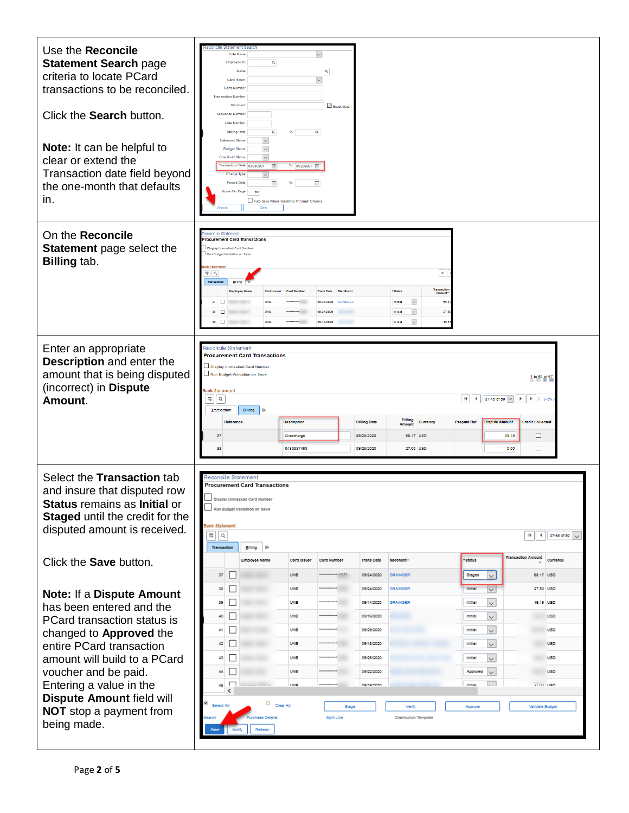| Use the Reconcile<br><b>Statement Search page</b><br>criteria to locate PCard<br>transactions to be reconciled.<br>Click the Search button.<br>Note: It can be helpful to<br>clear or extend the<br>Transaction date field beyond<br>the one-month that defaults<br>in.                                                           | econcile Statement Search<br>$\overline{\mathbf{v}}$<br><b>Role Name</b><br><b>Employee ID</b><br>$\hbox{\tt Q}$<br>Name<br>Q<br>$\overline{\mathbf{v}}$<br>Card Issue<br><b>Card Number</b><br><b>Transaction Number</b><br>Merchan<br>Exact Match<br><b>Sequence Number</b><br><b>Line Number</b><br><b>Billing Date</b><br>$\mathsf Q$<br>To<br>$\mathsf Q$<br><b>Statement Status</b><br>$\backsim$<br>$\overline{\mathcal{S}}$<br><b>Budget Status</b><br>$\overline{\mathbf{v}}$<br><b>Chartfield Status</b><br>Transaction Date 03/23/2021<br>To 04/22/2021 [11]<br>信<br><b>Charge Type</b><br>$\checkmark$<br><b>Posted Date</b><br>m<br>曲<br>Rows Per Page<br>50<br>Auto Save When Scrolling Through Chunks<br>Clea                                                                                                                                                                                                                                            |
|-----------------------------------------------------------------------------------------------------------------------------------------------------------------------------------------------------------------------------------------------------------------------------------------------------------------------------------|-------------------------------------------------------------------------------------------------------------------------------------------------------------------------------------------------------------------------------------------------------------------------------------------------------------------------------------------------------------------------------------------------------------------------------------------------------------------------------------------------------------------------------------------------------------------------------------------------------------------------------------------------------------------------------------------------------------------------------------------------------------------------------------------------------------------------------------------------------------------------------------------------------------------------------------------------------------------------|
| On the Reconcile<br>Statement page select the<br><b>Billing tab.</b>                                                                                                                                                                                                                                                              | concile Statement<br>Procurement Card Transactions<br>Display Unmasked Card Number<br>Run Budget Validation on Save<br>nk Stat<br>$\vert$ H $\vert$<br>EF Q<br>Transaction<br>Transaction<br>Amount<br><b>Trans Date</b><br>* Status<br>Card Issue<br>Card Nu<br>$\overline{\phantom{a}}$<br>$37$ $\Box$<br>68.<br>UMB<br>09/24/2020<br>Initial<br><b><i>RRAINGER</i></b><br>$\overline{\phantom{a}}$<br>27.60<br>38<br>$\Box$<br>09/24/2020<br>Initia<br>39 $\Box$<br>$\check{~}$<br>UMB<br>09/14/2020<br>Initial<br>10.7                                                                                                                                                                                                                                                                                                                                                                                                                                              |
| Enter an appropriate<br>Description and enter the<br>amount that is being disputed<br>(incorrect) in Dispute<br>Amount.                                                                                                                                                                                                           | Reconcile Statement<br><b>Procurement Card Transactions</b><br>Display Unmasked Card Number<br>Run Budget Validation on Save<br>1 to 50 of 67<br>Bank Statement<br>羁<br>37-45 of 50 v<br>$\hbox{\footnotesize Q}$<br>$\blacksquare$<br>$\blacktriangleleft$<br>$\blacktriangleright$<br>  View<br>Billing<br>Transaction<br>$\parallel$<br><b>Billing</b><br><b>Credit Collected</b><br><b>Description</b><br><b>Reference</b><br><b>Billing Date</b><br><b>Prepaid Ref</b><br><b>Dispute Amount</b><br>Currency<br>Amount<br>□<br>09/28/2020<br>68.17 USD<br>33.43<br>37<br>Overcharge<br>□<br>09/28/2020<br>27.50 USD<br>38<br>6483887498<br>0.00                                                                                                                                                                                                                                                                                                                     |
| Select the Transaction tab<br>and insure that disputed row<br><b>Status</b> remains as <b>Initial</b> or<br>Staged until the credit for the<br>disputed amount is received.<br>Click the <b>Save</b> button.                                                                                                                      | Reconcile Statement<br><b>Procurement Card Transactions</b><br>Display Unmasked Card Number<br>Run Budget Validation on Save<br>Bank Statement<br>冊<br>$\alpha$<br>$\vert 4 \vert$<br>$\parallel$ 37-45 of 50 $\sqrt{}$<br>Transaction<br>B na<br>ШÞ<br><b>Transaction Amount</b><br>* Status<br><b>Trans Date</b><br>Merchant <sup>v</sup><br>Currency<br>Card Issuer<br>Card Number<br>Employee Name                                                                                                                                                                                                                                                                                                                                                                                                                                                                                                                                                                  |
| <b>Note: If a Dispute Amount</b><br>has been entered and the<br>PCard transaction status is<br>changed to <b>Approved</b> the<br>entire PCard transaction<br>amount will build to a PCard<br>voucher and be paid.<br>Entering a value in the<br><b>Dispute Amount field will</b><br><b>NOT</b> stop a payment from<br>being made. | $\Box$<br>37<br><b>UMB</b><br>GRAINGER<br>Staged<br>68.17 USD<br>09/24/2020<br>$\checkmark$<br>$\Box$<br>38<br>UMB<br>09/24/2020<br>GRAINGER<br>Initial<br>$\checkmark$<br>27.50 USD<br>□<br>39<br>$\checkmark$<br>16.15 USD<br><b>UMB</b><br>09/14/2020<br><b>GRAINGER</b><br>Initial<br>□<br>$\checkmark$<br>40<br><b>UMB</b><br>09/16/2020<br>Initial<br><b>USD</b><br>$\Box$<br>$\checkmark$<br>41<br>UMB<br>09/29/2020<br><b>USD</b><br>Initial<br>$\Box$<br>$\check{~}$<br><b>UMB</b><br><b>USD</b><br>$42\,$<br>09/18/2020<br>Initial<br>□<br>$\checkmark$<br>43<br>UMB<br>09/25/2020<br><b>USD</b><br>Initial<br>П<br>44<br><b>UMB</b><br>09/22/2020<br><b>USD</b><br>Approved<br>$\checkmark$<br>.<br>$\Box$<br>45<br>1,8,183<br>09/19/2020<br>sz no USD<br>Initial<br>≺<br>Ý<br>$\Box$ Clear All<br>Select All<br>Stage<br>Approve<br><b>Validate Budget</b><br>Verify<br>rchase Detalls<br>Sollit Line<br>Distribution Template<br>iearch<br>Refresh<br>Save |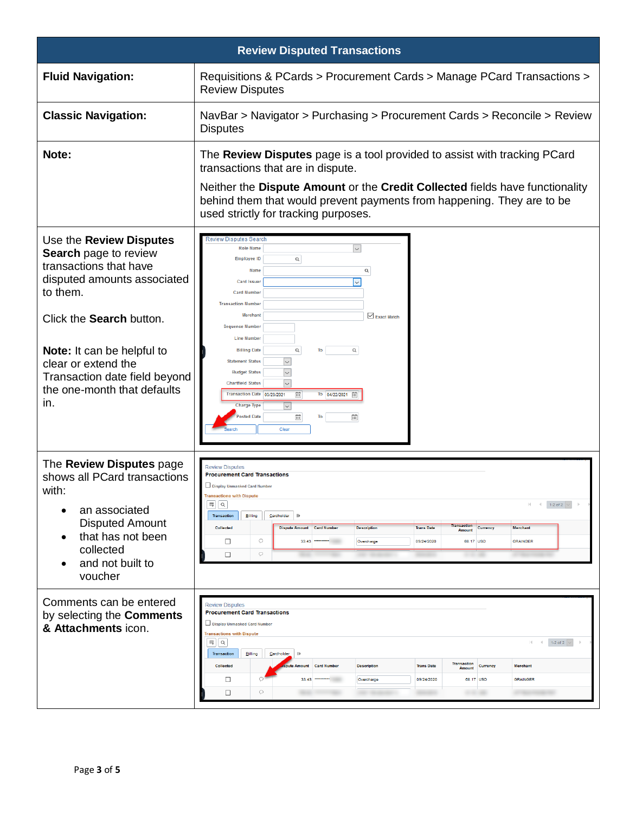| <b>Review Disputed Transactions</b>                                                                                                                                                                                                                                                    |                                                                                                                                                                                                                                                                                                                                                                                                                                                                                                                                                                                                                                                                                                                                                                     |  |  |  |  |  |  |
|----------------------------------------------------------------------------------------------------------------------------------------------------------------------------------------------------------------------------------------------------------------------------------------|---------------------------------------------------------------------------------------------------------------------------------------------------------------------------------------------------------------------------------------------------------------------------------------------------------------------------------------------------------------------------------------------------------------------------------------------------------------------------------------------------------------------------------------------------------------------------------------------------------------------------------------------------------------------------------------------------------------------------------------------------------------------|--|--|--|--|--|--|
| <b>Fluid Navigation:</b>                                                                                                                                                                                                                                                               | Requisitions & PCards > Procurement Cards > Manage PCard Transactions ><br><b>Review Disputes</b>                                                                                                                                                                                                                                                                                                                                                                                                                                                                                                                                                                                                                                                                   |  |  |  |  |  |  |
| <b>Classic Navigation:</b>                                                                                                                                                                                                                                                             | NavBar > Navigator > Purchasing > Procurement Cards > Reconcile > Review<br><b>Disputes</b>                                                                                                                                                                                                                                                                                                                                                                                                                                                                                                                                                                                                                                                                         |  |  |  |  |  |  |
| Note:                                                                                                                                                                                                                                                                                  | The Review Disputes page is a tool provided to assist with tracking PCard<br>transactions that are in dispute.<br>Neither the Dispute Amount or the Credit Collected fields have functionality<br>behind them that would prevent payments from happening. They are to be<br>used strictly for tracking purposes.                                                                                                                                                                                                                                                                                                                                                                                                                                                    |  |  |  |  |  |  |
| Use the Review Disputes<br>Search page to review<br>transactions that have<br>disputed amounts associated<br>to them.<br>Click the Search button.<br>Note: It can be helpful to<br>clear or extend the<br>Transaction date field beyond<br>the one-month that defaults<br>in.          | Review Disputes Search<br>$\check{~}$<br><b>Role Name</b><br><b>Employee ID</b><br>Q<br>Name<br>Q<br>$\sim$<br><b>Card Issuer</b><br><b>Card Number</b><br><b>Transaction Number</b><br><b>Merchant</b><br>Exact Match<br><b>Sequence Number</b><br><b>Line Number</b><br>Q<br><b>Billing Date</b><br>To<br>Q<br><b>Statement Status</b><br>$\smallsmile$<br><b>Budget Status</b><br><b>Chartfield Status</b><br>$\overline{}$<br>To 04/22/2021<br>Transaction Date 03/23/2021<br><b>Charge Type</b><br>$\check{~}$<br>osted Date<br>笽<br>To<br>曲<br>Clear                                                                                                                                                                                                          |  |  |  |  |  |  |
| The Review Disputes page<br>shows all PCard transactions<br>with:<br>an associated<br>$\bullet$<br><b>Disputed Amount</b><br>that has not been<br>$\bullet$<br>collected<br>and not built to<br>voucher<br>Comments can be entered<br>by selecting the Comments<br>& Attachments icon. | <b>Review Disputes</b><br><b>Procurement Card Transactions</b><br>Display Unmasked Card Number<br>ons with Disput<br>冊<br>1-2 of 2 $\vert \vee$<br>Q<br>$\rightarrow$<br>Billing<br><b>Transaction</b><br>Cardholder<br>$\mathbf{H}$<br>ransaction<br><b>Collected</b><br><b>Trans Date</b><br><b>Dispute Amount</b><br><b>Card Number</b><br><b>Description</b><br>Currency<br>Merchant<br><b>Amount</b><br>$\circ$<br>□<br>33.43<br>09/24/2020<br>68.17 USD<br><b>GRAINGER</b><br>Overcharge<br>$\circ$<br>$\Box$<br><b>Review Disputes</b><br><b>Procurement Card Transactions</b><br>Display Unmasked Card Number<br><b>Transactions with Dispute</b><br>1-2 of 2 $\vert \vee \vert$<br>Ħ,<br>$\alpha$<br>$\sim$<br>Billing<br>Cardholder<br><b>Transaction</b> |  |  |  |  |  |  |
|                                                                                                                                                                                                                                                                                        | <b>Transaction</b><br><b>Collected</b><br><b>Card Number</b><br><b>Trans Date</b><br>Currency<br><b>Merchant</b><br><b>Description</b><br>Amount<br><b>Amount</b><br>□<br>◠<br>09/24/2020<br>68.17 USD<br><b>GRAINGER</b><br>33.43<br>Overcharge<br>$\Box$<br>$\circ$                                                                                                                                                                                                                                                                                                                                                                                                                                                                                               |  |  |  |  |  |  |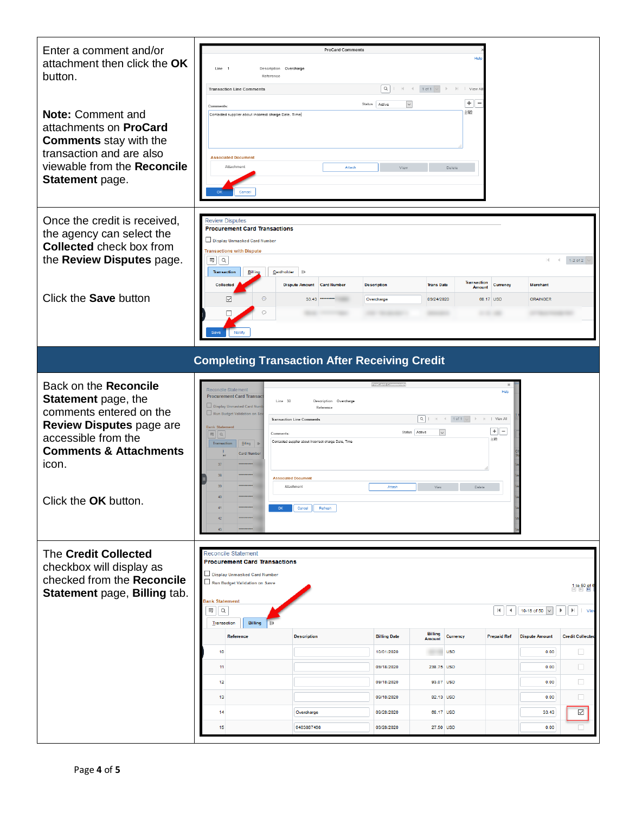| Enter a comment and/or<br>attachment then click the OK<br>button.                                                                                                                                | Line 1<br>Description Overcharge<br>Reference<br><b>Transaction Line Comments</b>                                                                                                                                                                                          | <b>ProCard Comments</b>                                                                                                                                                                                     | Q                                     |                                                         | Hel<br>$\Rightarrow$ $\Rightarrow$ $\Rightarrow$ $\Rightarrow$ View Al |                                        |                                    |                                                                 |
|--------------------------------------------------------------------------------------------------------------------------------------------------------------------------------------------------|----------------------------------------------------------------------------------------------------------------------------------------------------------------------------------------------------------------------------------------------------------------------------|-------------------------------------------------------------------------------------------------------------------------------------------------------------------------------------------------------------|---------------------------------------|---------------------------------------------------------|------------------------------------------------------------------------|----------------------------------------|------------------------------------|-----------------------------------------------------------------|
| <b>Note: Comment and</b><br>attachments on <b>ProCard</b><br><b>Comments</b> stay with the<br>transaction and are also<br>viewable from the Reconcile<br>Statement page.                         | Comments<br>Contacted supplier about incorrect charge Date, Time<br><b>Associated Document</b><br>Attachment                                                                                                                                                               | Attach                                                                                                                                                                                                      | $\checkmark$<br>Status Active<br>View |                                                         | $+$<br>æ<br>Delete                                                     |                                        |                                    |                                                                 |
| Once the credit is received,<br>the agency can select the<br><b>Collected check box from</b><br>the Review Disputes page.                                                                        | <b>Review Disputes</b><br><b>Procurement Card Transactions</b><br>Display Unmasked Card Number<br><b>Transactions with Dispute</b><br>HŞ.<br>$\mathsf Q$<br><b>Transaction</b><br>Billing                                                                                  | Cardholder<br>$\mathbb{I}$                                                                                                                                                                                  |                                       |                                                         | <b>Transaction</b>                                                     |                                        |                                    | $1-2$ of $2$                                                    |
| Click the Save button                                                                                                                                                                            | <b>Collected</b><br>$\odot$<br>☑<br>$\circ$<br>Save<br>Notify                                                                                                                                                                                                              | <b>Dispute Amount</b><br><b>Card Number</b><br>33.43                                                                                                                                                        | <b>Description</b><br>Overcharge      | <b>Trans Date</b><br>09/24/2020                         | <b>Amount</b>                                                          | <b>Currency</b><br>68.17 USD           | <b>Merchant</b><br><b>GRAINGER</b> |                                                                 |
|                                                                                                                                                                                                  |                                                                                                                                                                                                                                                                            | <b>Completing Transaction After Receiving Credit</b>                                                                                                                                                        |                                       |                                                         |                                                                        |                                        |                                    |                                                                 |
| Back on the Reconcile<br>Statement page, the<br>comments entered on the<br>Review Disputes page are<br>accessible from the<br><b>Comments &amp; Attachments</b><br>icon.<br>Click the OK button. | Reconcile Statement<br><b>Procurement Card Transact</b><br>Display Unmasked Card Num<br>Run Budget Validation on Sav<br><b>Bank Statement</b><br>$\mathbb{E} \left\  \alpha \right\ $<br>Comments:<br>Transaction<br>Billing   III<br><b>Card Number</b><br>37<br>42<br>43 | Line 30<br>Description Overcharge<br>Reference<br><b>Transaction Line Comments</b><br>Contacted supplier about incorrect charge Date, Time<br><b>Associated Document</b><br>Attachment<br>Cancel<br>Refresh | <b>ProCard Com</b><br>Attach          | $\alpha$<br>Status Active<br>$\vert \vee \vert$<br>View | $H = 1$ of 1 $\sqrt{ }$<br>Delete                                      | Help<br>I View All<br>$+   -$<br>休眠    |                                    |                                                                 |
| The Credit Collected<br>checkbox will display as<br>checked from the Reconcile<br>Statement page, Billing tab.                                                                                   | Reconcile Statement<br><b>Procurement Card Transactions</b><br>Display Unmasked Card Number<br>Run Budget Validation on Save<br>Bank Statement<br>Ηÿ<br>$\alpha$<br>Billing                                                                                                |                                                                                                                                                                                                             |                                       |                                                         |                                                                        | $\blacksquare$<br>$\blacktriangleleft$ | 10-18 of 50 $\vert \vee$           | 1 to 50 of 6<br>$\blacktriangleright$<br>  Vie<br>$\rightarrow$ |
|                                                                                                                                                                                                  | Transaction                                                                                                                                                                                                                                                                |                                                                                                                                                                                                             |                                       | <b>Billing</b>                                          |                                                                        |                                        |                                    |                                                                 |
|                                                                                                                                                                                                  | Reference                                                                                                                                                                                                                                                                  | <b>Description</b>                                                                                                                                                                                          | <b>Billing Date</b>                   | <b>Amount</b>                                           | Currency                                                               | <b>Prepaid Ref</b>                     | <b>Dispute Amount</b>              | <b>Credit Collecter</b>                                         |
|                                                                                                                                                                                                  | 10                                                                                                                                                                                                                                                                         |                                                                                                                                                                                                             | 10/01/2020                            |                                                         | <b>USD</b>                                                             |                                        | 0.00                               | $\Box$                                                          |
|                                                                                                                                                                                                  | 11                                                                                                                                                                                                                                                                         |                                                                                                                                                                                                             | 09/18/2020                            | 238.75 USD                                              |                                                                        |                                        | 0.00                               | $\Box$                                                          |
|                                                                                                                                                                                                  |                                                                                                                                                                                                                                                                            |                                                                                                                                                                                                             |                                       |                                                         |                                                                        |                                        |                                    |                                                                 |
|                                                                                                                                                                                                  | 12                                                                                                                                                                                                                                                                         |                                                                                                                                                                                                             | 09/18/2020<br>09/18/2020              | 93.07 USD                                               |                                                                        |                                        | 0.00                               | $\Box$                                                          |
|                                                                                                                                                                                                  | 13<br>14                                                                                                                                                                                                                                                                   | Overcharge                                                                                                                                                                                                  | 09/28/2020                            | 82.13 USD<br>68.17 USD                                  |                                                                        |                                        | 0.00<br>33.43                      | $\Box$                                                          |
|                                                                                                                                                                                                  | 15                                                                                                                                                                                                                                                                         | 6483887498                                                                                                                                                                                                  | 09/28/2020                            | 27.50 USD                                               |                                                                        |                                        | 0.00                               | $\mathbin{\boxdot}$                                             |